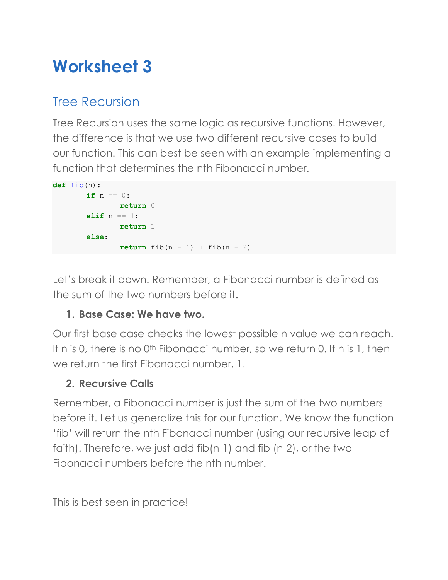## **Worksheet 3**

## Tree Recursion

Tree Recursion uses the same logic as recursive functions. However, the difference is that we use two different recursive cases to build our function. This can best be seen with an example implementing a function that determines the nth Fibonacci number.

```
def fib(n):
       if n == 0:
               return 0
       elif n == 1: 
               return 1
       else:
               return fib(n - 1) + fib(n - 2)
```
Let's break it down. Remember, a Fibonacci number is defined as the sum of the two numbers before it.

## **1. Base Case: We have two.**

Our first base case checks the lowest possible n value we can reach. If n is 0, there is no 0<sup>th</sup> Fibonacci number, so we return 0. If n is 1, then we return the first Fibonacci number, 1.

## **2. Recursive Calls**

Remember, a Fibonacci number is just the sum of the two numbers before it. Let us generalize this for our function. We know the function 'fib' will return the nth Fibonacci number (using our recursive leap of faith). Therefore, we just add fib(n-1) and fib (n-2), or the two Fibonacci numbers before the nth number.

This is best seen in practice!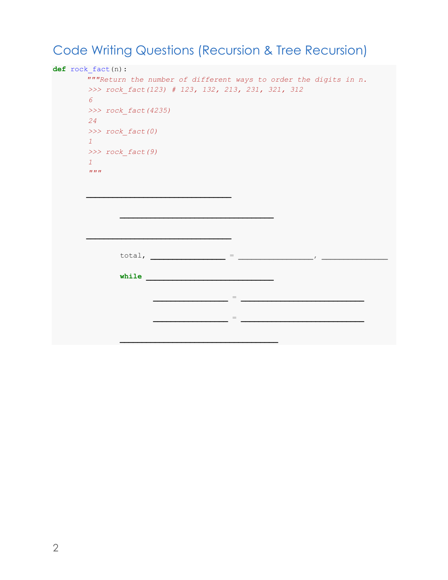```
Code Writing Questions (Recursion & Tree Recursion)
```

```
def rock_fact(n):
         """Return the number of different ways to order the digits in n.
          >>> rock_fact(123) # 123, 132, 213, 231, 321, 312
          6
          >>> rock_fact(4235)
          24
          >>> rock_fact(0)
          1
          >>> rock_fact(9)
          1
         \overline{m} \overline{m}_________________________________
                   ___________________________________
         _________________________________
                  total, _________________ = _________________, _______________
                  while _____________________________
                                        _________________ = ____________________________
                                 _________________ = ____________________________
                   ____________________________________
```